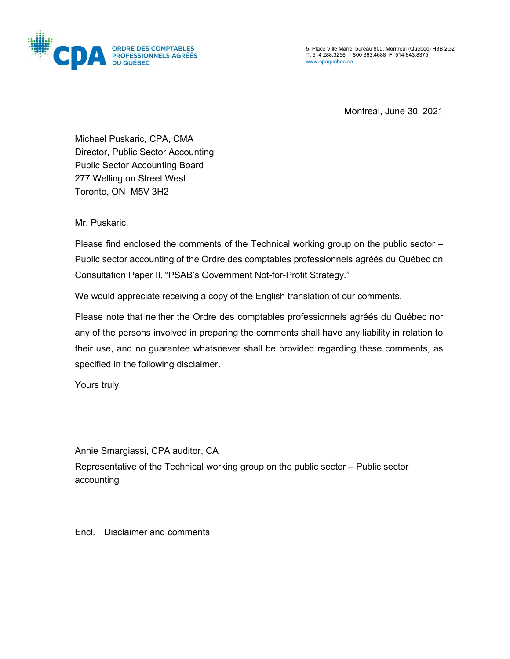

5, Place Ville Marie, bureau 800, Montréal (Québec) H3B 2G2 T. 514 288.3256 1 800 363.4688 F. 514 843.8375 [www.cpaquebec.ca](http://www.cpaquebec.ca/)

Montreal, June 30, 2021

Michael Puskaric, CPA, CMA Director, Public Sector Accounting Public Sector Accounting Board 277 Wellington Street West Toronto, ON M5V 3H2

Mr. Puskaric,

Please find enclosed the comments of the Technical working group on the public sector – Public sector accounting of the Ordre des comptables professionnels agréés du Québec on Consultation Paper II, "PSAB's Government Not-for-Profit Strategy*.*"

We would appreciate receiving a copy of the English translation of our comments.

Please note that neither the Ordre des comptables professionnels agréés du Québec nor any of the persons involved in preparing the comments shall have any liability in relation to their use, and no guarantee whatsoever shall be provided regarding these comments, as specified in the following disclaimer.

Yours truly,

Annie Smargiassi, CPA auditor, CA

Representative of the Technical working group on the public sector – Public sector accounting

Encl. Disclaimer and comments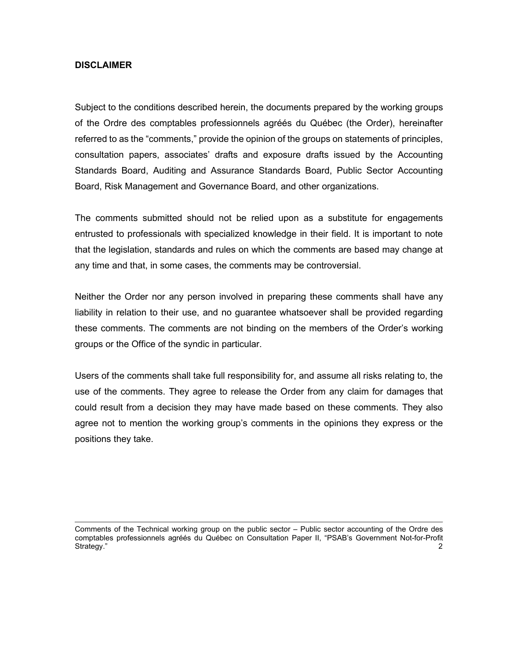## **DISCLAIMER**

Subject to the conditions described herein, the documents prepared by the working groups of the Ordre des comptables professionnels agréés du Québec (the Order), hereinafter referred to as the "comments," provide the opinion of the groups on statements of principles, consultation papers, associates' drafts and exposure drafts issued by the Accounting Standards Board, Auditing and Assurance Standards Board, Public Sector Accounting Board, Risk Management and Governance Board, and other organizations.

The comments submitted should not be relied upon as a substitute for engagements entrusted to professionals with specialized knowledge in their field. It is important to note that the legislation, standards and rules on which the comments are based may change at any time and that, in some cases, the comments may be controversial.

Neither the Order nor any person involved in preparing these comments shall have any liability in relation to their use, and no guarantee whatsoever shall be provided regarding these comments. The comments are not binding on the members of the Order's working groups or the Office of the syndic in particular.

Users of the comments shall take full responsibility for, and assume all risks relating to, the use of the comments. They agree to release the Order from any claim for damages that could result from a decision they may have made based on these comments. They also agree not to mention the working group's comments in the opinions they express or the positions they take.

Comments of the Technical working group on the public sector – Public sector accounting of the Ordre des comptables professionnels agréés du Québec on Consultation Paper II, "PSAB's Government Not-for-Profit Strategy." 2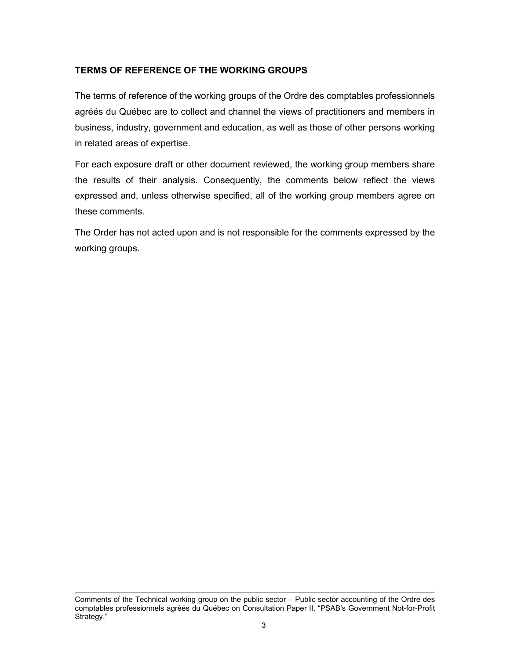## **TERMS OF REFERENCE OF THE WORKING GROUPS**

The terms of reference of the working groups of the Ordre des comptables professionnels agréés du Québec are to collect and channel the views of practitioners and members in business, industry, government and education, as well as those of other persons working in related areas of expertise.

For each exposure draft or other document reviewed, the working group members share the results of their analysis. Consequently, the comments below reflect the views expressed and, unless otherwise specified, all of the working group members agree on these comments.

The Order has not acted upon and is not responsible for the comments expressed by the working groups.

Comments of the Technical working group on the public sector – Public sector accounting of the Ordre des comptables professionnels agréés du Québec on Consultation Paper II, "PSAB's Government Not-for-Profit Strategy."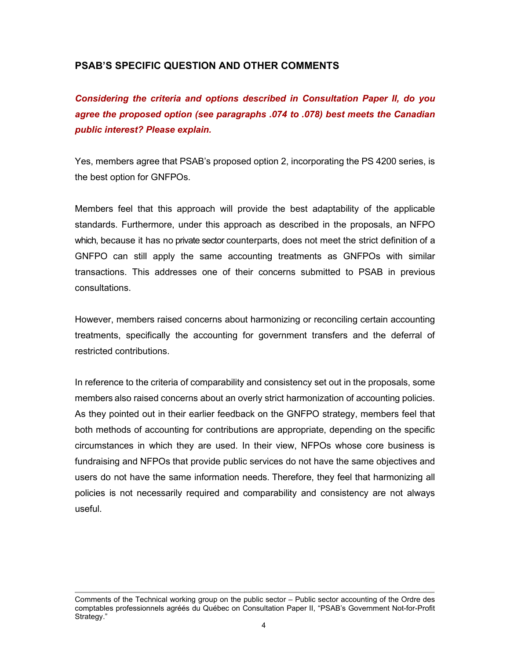## **PSAB'S SPECIFIC QUESTION AND OTHER COMMENTS**

*Considering the criteria and options described in Consultation Paper II, do you agree the proposed option (see paragraphs .074 to .078) best meets the Canadian public interest? Please explain.*

Yes, members agree that PSAB's proposed option 2, incorporating the PS 4200 series, is the best option for GNFPOs.

Members feel that this approach will provide the best adaptability of the applicable standards. Furthermore, under this approach as described in the proposals, an NFPO which, because it has no private sector counterparts, does not meet the strict definition of a GNFPO can still apply the same accounting treatments as GNFPOs with similar transactions. This addresses one of their concerns submitted to PSAB in previous consultations.

However, members raised concerns about harmonizing or reconciling certain accounting treatments, specifically the accounting for government transfers and the deferral of restricted contributions.

In reference to the criteria of comparability and consistency set out in the proposals, some members also raised concerns about an overly strict harmonization of accounting policies. As they pointed out in their earlier feedback on the GNFPO strategy, members feel that both methods of accounting for contributions are appropriate, depending on the specific circumstances in which they are used. In their view, NFPOs whose core business is fundraising and NFPOs that provide public services do not have the same objectives and users do not have the same information needs. Therefore, they feel that harmonizing all policies is not necessarily required and comparability and consistency are not always useful.

Comments of the Technical working group on the public sector – Public sector accounting of the Ordre des comptables professionnels agréés du Québec on Consultation Paper II, "PSAB's Government Not-for-Profit Strategy."